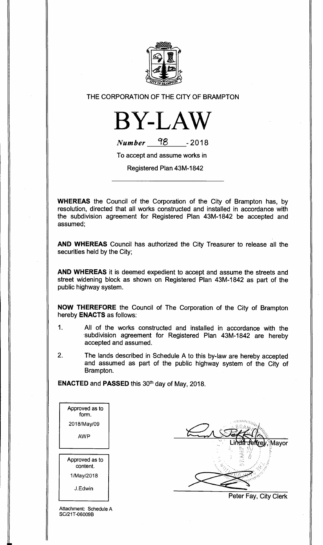

THE CORPORATION OF THE CITY OF BRAMPTON



| <b>Number</b> | 98 | $-2018$ |
|---------------|----|---------|
|               |    |         |

To accept and assume works in

Registered Plan 43M-1842

**WHEREAS** the Council of the Corporation of the City of Brampton has, by resolution, directed that all works constructed and installed in accordance with the subdivision agreement for Registered Plan 43M-1842 be accepted and assumed;

**AND WHEREAS** Council has authorized the City Treasurer to release all the securities held by the City;

**AND WHEREAS** it is deemed expedient to accept and assume the streets and street widening block as shown on Registered Plan 43M-1842 as part of the public highway system.

**NOW THEREFORE** the Council of The Corporation of the City of Brampton hereby **ENACTS** as follows:

- 1. All of the works constructed and installed in accordance with the subdivision agreement for Registered Plan 43M-1842 are hereby accepted and assumed.
- 2. The lands described in Schedule A to this by-law are hereby accepted and assumed as part of the public highway system of the City of Brampton.

**ENACTED** and **PASSED** this 30th day of May, 2018.

Attachment: Schedule A SC/21T-06009B

Mayor

Peter Fay, City Clerk